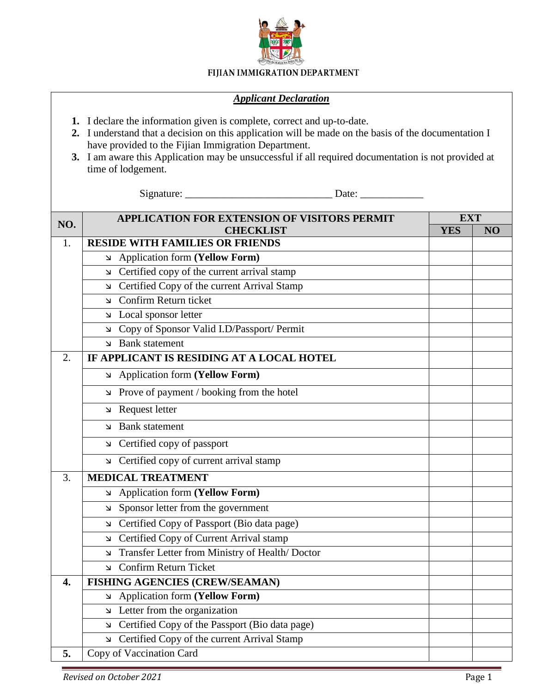

## FIJIAN IMMIGRATION DEPARTMENT

## *Applicant Declaration*

- **1.** I declare the information given is complete, correct and up-to-date.
- **2.** I understand that a decision on this application will be made on the basis of the documentation I have provided to the Fijian Immigration Department.
- **3.** I am aware this Application may be unsuccessful if all required documentation is not provided at time of lodgement.

Signature: \_\_\_\_\_\_\_\_\_\_\_\_\_\_\_\_\_\_\_\_\_\_\_\_\_\_\_\_ Date: \_\_\_\_\_\_\_\_\_\_\_\_

| NO. | <b>APPLICATION FOR EXTENSION OF VISITORS PERMIT</b> |            | <b>EXT</b> |  |  |
|-----|-----------------------------------------------------|------------|------------|--|--|
|     | <b>CHECKLIST</b>                                    | <b>YES</b> | NO         |  |  |
| 1.  | <b>RESIDE WITH FAMILIES OR FRIENDS</b>              |            |            |  |  |
|     | Application form (Yellow Form)                      |            |            |  |  |
|     | Certified copy of the current arrival stamp         |            |            |  |  |
|     | Certified Copy of the current Arrival Stamp         |            |            |  |  |
|     | Confirm Return ticket<br>N.                         |            |            |  |  |
|     | Local sponsor letter                                |            |            |  |  |
|     | Copy of Sponsor Valid I.D/Passport/ Permit          |            |            |  |  |
|     | <b>Bank statement</b>                               |            |            |  |  |
| 2.  | IF APPLICANT IS RESIDING AT A LOCAL HOTEL           |            |            |  |  |
|     | Application form (Yellow Form)                      |            |            |  |  |
|     | Prove of payment / booking from the hotel           |            |            |  |  |
|     | Request letter                                      |            |            |  |  |
|     | <b>Bank statement</b>                               |            |            |  |  |
|     | Certified copy of passport                          |            |            |  |  |
|     | Certified copy of current arrival stamp             |            |            |  |  |
| 3.  | <b>MEDICAL TREATMENT</b>                            |            |            |  |  |
|     | Application form (Yellow Form)                      |            |            |  |  |
|     | Sponsor letter from the government                  |            |            |  |  |
|     | Certified Copy of Passport (Bio data page)          |            |            |  |  |
|     | Certified Copy of Current Arrival stamp             |            |            |  |  |
|     | Transfer Letter from Ministry of Health/Doctor      |            |            |  |  |
|     | Confirm Return Ticket                               |            |            |  |  |
| 4.  | FISHING AGENCIES (CREW/SEAMAN)                      |            |            |  |  |
|     | Application form (Yellow Form)                      |            |            |  |  |
|     | Letter from the organization                        |            |            |  |  |
|     | Certified Copy of the Passport (Bio data page)      |            |            |  |  |
|     | Certified Copy of the current Arrival Stamp         |            |            |  |  |
| 5.  | Copy of Vaccination Card                            |            |            |  |  |